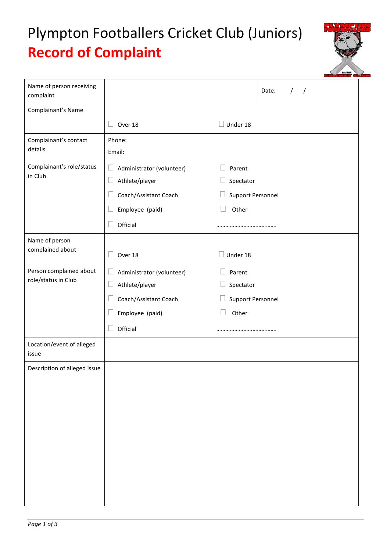## Plympton Footballers Cricket Club (Juniors) **Record of Complaint**



| Name of person receiving<br>complaint |                                     | Date:<br>$\prime$<br>$\prime$ |
|---------------------------------------|-------------------------------------|-------------------------------|
| Complainant's Name                    |                                     |                               |
|                                       | Over 18                             | $\Box$ Under 18               |
| Complainant's contact                 | Phone:                              |                               |
| details                               | Email:                              |                               |
| Complainant's role/status<br>in Club  | Administrator (volunteer)<br>$\Box$ | Parent                        |
|                                       | Athlete/player<br>Ш                 | Spectator                     |
|                                       | Coach/Assistant Coach               | <b>Support Personnel</b>      |
|                                       | Employee (paid)                     | Other                         |
|                                       | Official                            |                               |
| Name of person                        |                                     |                               |
| complained about                      | Over 18                             | Under 18                      |
| Person complained about               | Administrator (volunteer)<br>$\Box$ | Parent                        |
| role/status in Club                   | Athlete/player<br>$\Box$            | Spectator<br>$\Box$           |
|                                       | Coach/Assistant Coach               | Support Personnel             |
|                                       | Employee (paid)                     | $\Box$<br>Other               |
|                                       | Official                            |                               |
| Location/event of alleged<br>issue    |                                     |                               |
| Description of alleged issue          |                                     |                               |
|                                       |                                     |                               |
|                                       |                                     |                               |
|                                       |                                     |                               |
|                                       |                                     |                               |
|                                       |                                     |                               |
|                                       |                                     |                               |
|                                       |                                     |                               |
|                                       |                                     |                               |
|                                       |                                     |                               |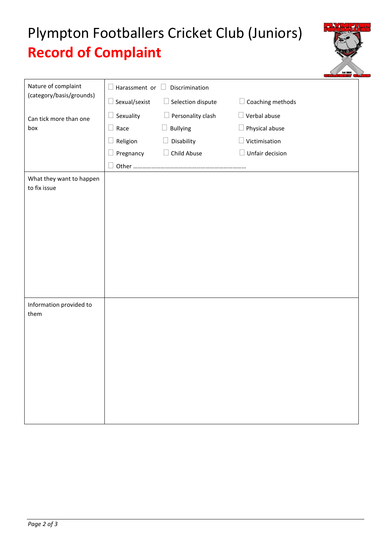## Plympton Footballers Cricket Club (Juniors) **Record of Complaint**

| Nature of complaint<br>(category/basis/grounds) | Harassment or<br>Discrimination |                          |                     |  |
|-------------------------------------------------|---------------------------------|--------------------------|---------------------|--|
|                                                 | Sexual/sexist                   | $\Box$ Selection dispute | Coaching methods    |  |
| Can tick more than one<br>box                   | Sexuality                       | $\Box$ Personality clash | $\Box$ Verbal abuse |  |
|                                                 | Race<br>$\Box$                  | <b>Bullying</b>          | Physical abuse      |  |
|                                                 | Religion                        | Disability               | Victimisation       |  |
|                                                 | Pregnancy                       | Child Abuse              | Unfair decision     |  |
|                                                 | Other                           |                          |                     |  |
| What they want to happen<br>to fix issue        |                                 |                          |                     |  |
|                                                 |                                 |                          |                     |  |
|                                                 |                                 |                          |                     |  |
|                                                 |                                 |                          |                     |  |
|                                                 |                                 |                          |                     |  |
|                                                 |                                 |                          |                     |  |
|                                                 |                                 |                          |                     |  |
|                                                 |                                 |                          |                     |  |
|                                                 |                                 |                          |                     |  |
| Information provided to                         |                                 |                          |                     |  |
| them                                            |                                 |                          |                     |  |
|                                                 |                                 |                          |                     |  |
|                                                 |                                 |                          |                     |  |
|                                                 |                                 |                          |                     |  |
|                                                 |                                 |                          |                     |  |
|                                                 |                                 |                          |                     |  |
|                                                 |                                 |                          |                     |  |
|                                                 |                                 |                          |                     |  |
|                                                 |                                 |                          |                     |  |